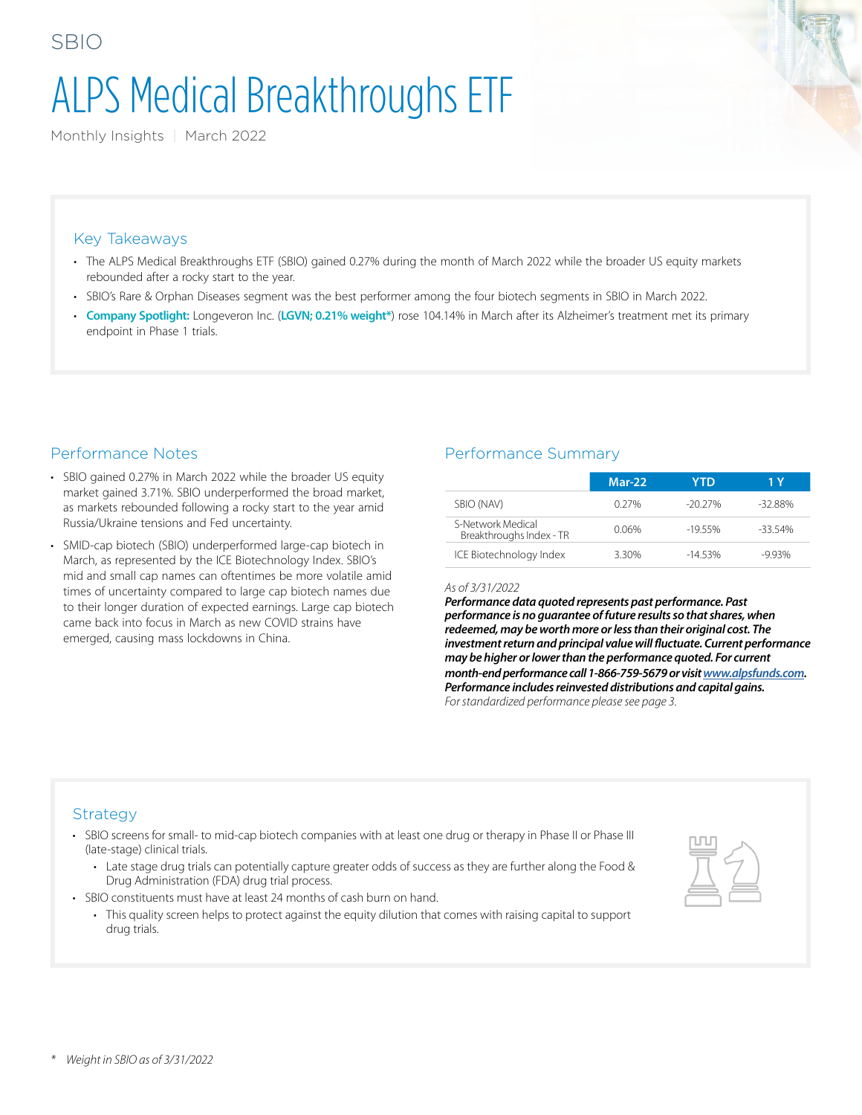# ALPS Medical Breakthroughs ETF

Monthly Insights | March 2022

### Key Takeaways

SBIO

- The ALPS Medical Breakthroughs ETF (SBIO) gained 0.27% during the month of March 2022 while the broader US equity markets rebounded after a rocky start to the year.
- SBIO's Rare & Orphan Diseases segment was the best performer among the four biotech segments in SBIO in March 2022.
- **Company Spotlight:** Longeveron Inc. (**LGVN; 0.21% weight\***) rose 104.14% in March after its Alzheimer's treatment met its primary endpoint in Phase 1 trials.

## Performance Notes

- SBIO gained 0.27% in March 2022 while the broader US equity market gained 3.71%. SBIO underperformed the broad market, as markets rebounded following a rocky start to the year amid Russia/Ukraine tensions and Fed uncertainty.
- SMID-cap biotech (SBIO) underperformed large-cap biotech in March, as represented by the ICE Biotechnology Index. SBIO's mid and small cap names can oftentimes be more volatile amid times of uncertainty compared to large cap biotech names due to their longer duration of expected earnings. Large cap biotech came back into focus in March as new COVID strains have emerged, causing mass lockdowns in China.

## Performance Summary

|                                               | $Mar-22$ | YTD      | 1 Y       |
|-----------------------------------------------|----------|----------|-----------|
| SBIO (NAV)                                    | $0.27\%$ | -20 27%  | $-32.88%$ |
| S-Network Medical<br>Breakthroughs Index - TR | 0.06%    | $-1955%$ | $-3354%$  |
| ICE Biotechnology Index                       | 3.30%    | $-1453%$ | $-993%$   |

#### *As of 3/31/2022*

*Performance data quoted represents past performance. Past performance is no guarantee of future results so that shares, when redeemed, may be worth more or less than their original cost. The investment return and principal value will fluctuate. Current performance may be higher or lower than the performance quoted. For current month-end performance call 1-866-759-5679 or visit [www.alpsfunds.com](http://www.alpsfunds.com). Performance includes reinvested distributions and capital gains. For standardized performance please see page 3.*

#### Strategy

- SBIO screens for small- to mid-cap biotech companies with at least one drug or therapy in Phase II or Phase III (late-stage) clinical trials.
	- Late stage drug trials can potentially capture greater odds of success as they are further along the Food & Drug Administration (FDA) drug trial process.
- SBIO constituents must have at least 24 months of cash burn on hand.
	- This quality screen helps to protect against the equity dilution that comes with raising capital to support drug trials.

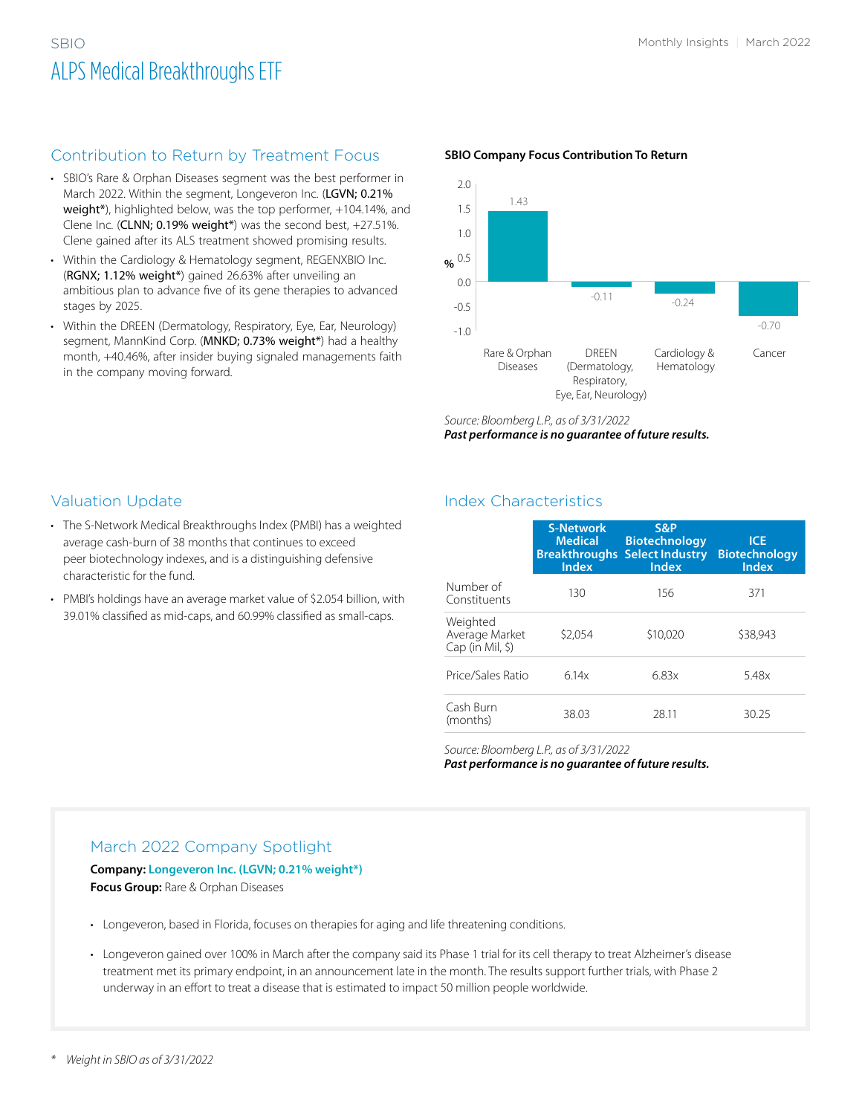## SBIO Monthly Insights | March 2022 ALPS Medical Breakthroughs ETF

## Contribution to Return by Treatment Focus

- SBIO's Rare & Orphan Diseases segment was the best performer in March 2022. Within the segment, Longeveron Inc. (LGVN; 0.21% weight\*), highlighted below, was the top performer, +104.14%, and Clene Inc. (CLNN; 0.19% weight\*) was the second best, +27.51%. Clene gained after its ALS treatment showed promising results.
- Within the Cardiology & Hematology segment, REGENXBIO Inc. (RGNX; 1.12% weight\*) gained 26.63% after unveiling an ambitious plan to advance five of its gene therapies to advanced stages by 2025.
- Within the DREEN (Dermatology, Respiratory, Eye, Ear, Neurology) segment, MannKind Corp. (MNKD; 0.73% weight\*) had a healthy month, +40.46%, after insider buying signaled managements faith in the company moving forward.

#### **SBIO Company Focus Contribution To Return**



*Source: Bloomberg L.P., as of 3/31/2022*

*Past performance is no guarantee of future results.*

## Valuation Update

- The S-Network Medical Breakthroughs Index (PMBI) has a weighted average cash-burn of 38 months that continues to exceed peer biotechnology indexes, and is a distinguishing defensive characteristic for the fund.
- PMBI's holdings have an average market value of \$2.054 billion, with 39.01% classified as mid-caps, and 60.99% classified as small-caps.

## Index Characteristics

|                                                | <b>S-Network</b><br><b>Medical</b><br><b>Index</b> | S&P<br><b>Biotechnology</b><br><b>Breakthroughs Select Industry</b><br><b>Index</b> | <b>ICE</b><br><b>Biotechnology</b><br><b>Index</b> |
|------------------------------------------------|----------------------------------------------------|-------------------------------------------------------------------------------------|----------------------------------------------------|
| Number of<br>Constituents                      | 130                                                | 156                                                                                 | 371                                                |
| Weighted<br>Average Market<br>Cap (in Mil, \$) | \$2,054                                            | \$10,020                                                                            | \$38,943                                           |
| Price/Sales Ratio                              | 6.14x                                              | 6.83x                                                                               | 5.48x                                              |
| Cash Burn<br>(months)                          | 38.03                                              | 28.11                                                                               | 30.25                                              |

*Source: Bloomberg L.P., as of 3/31/2022*

*Past performance is no guarantee of future results.*

## March 2022 Company Spotlight

**Company: Longeveron Inc. (LGVN; 0.21% weight\*) Focus Group:** Rare & Orphan Diseases

- Longeveron, based in Florida, focuses on therapies for aging and life threatening conditions.
- Longeveron gained over 100% in March after the company said its Phase 1 trial for its cell therapy to treat Alzheimer's disease treatment met its primary endpoint, in an announcement late in the month. The results support further trials, with Phase 2 underway in an effort to treat a disease that is estimated to impact 50 million people worldwide.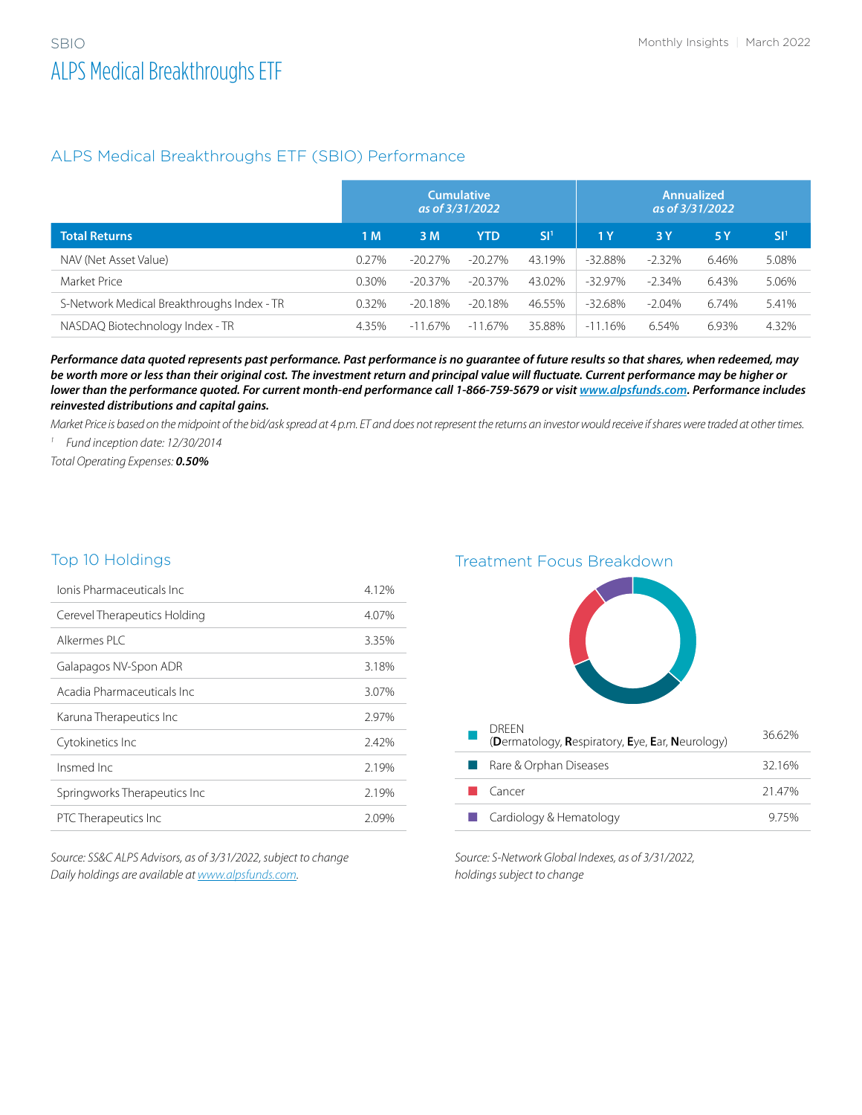## ALPS Medical Breakthroughs ETF (SBIO) Performance

|                                            | <b>Cumulative</b><br>as of 3/31/2022 |            |            | <b>Annualized</b><br>as of 3/31/2022 |            |           |       |                 |
|--------------------------------------------|--------------------------------------|------------|------------|--------------------------------------|------------|-----------|-------|-----------------|
| <b>Total Returns</b>                       | 1 M                                  | 3 M        | YTD        | SI <sup>1</sup>                      | 1Y         | 3 Y       | 5Y    | SI <sup>1</sup> |
| NAV (Net Asset Value)                      | 0.27%                                | $-20.27\%$ | $-20.27\%$ | 43.19%                               | $-32.88%$  | $-2.32%$  | 6.46% | 5.08%           |
| Market Price                               | 0.30%                                | $-20.37\%$ | $-20.37\%$ | 43.02%                               | $-32.97\%$ | $-2.34%$  | 6.43% | 5.06%           |
| S-Network Medical Breakthroughs Index - TR | 0.32%                                | -20.18%    | -20.18%    | 46.55%                               | $-32.68%$  | $-2.04\%$ | 6.74% | 5.41%           |
| NASDAQ Biotechnology Index - TR            | 4.35%                                | $-11.67\%$ | $-11.67\%$ | 35.88%                               | $-11.16%$  | 6.54%     | 6.93% | 4.32%           |

*Performance data quoted represents past performance. Past performance is no guarantee of future results so that shares, when redeemed, may be worth more or less than their original cost. The investment return and principal value will fluctuate. Current performance may be higher or lower than the performance quoted. For current month-end performance call 1-866-759-5679 or visit [www.alpsfunds.com](http://www.alpsfunds.com). Performance includes reinvested distributions and capital gains.*

*Market Price is based on the midpoint of the bid/ask spread at 4 p.m. ET and does not represent the returns an investor would receive if shares were traded at other times.*

*1 Fund inception date: 12/30/2014*

*Total Operating Expenses: 0.50%*

#### Top 10 Holdings

| Jonis Pharmaceuticals Inc.   | 4.12% |
|------------------------------|-------|
| Cerevel Therapeutics Holding | 4.07% |
| Alkermes PLC                 | 3.35% |
| Galapagos NV-Spon ADR        | 3.18% |
| Acadia Pharmaceuticals Inc   | 3.07% |
| Karuna Therapeutics Inc      | 2.97% |
| Cytokinetics Inc             | 2.42% |
| Insmed Inc                   | 2.19% |
| Springworks Therapeutics Inc | 2.19% |
| PTC Therapeutics Inc         | 2.09% |

*Source: SS&C ALPS Advisors, as of 3/31/2022, subject to change Daily holdings are available at [www.alpsfunds.com.](http://www.alpsfunds.com)*

Treatment Focus Breakdown



*Source: S-Network Global Indexes, as of 3/31/2022, holdings subject to change*